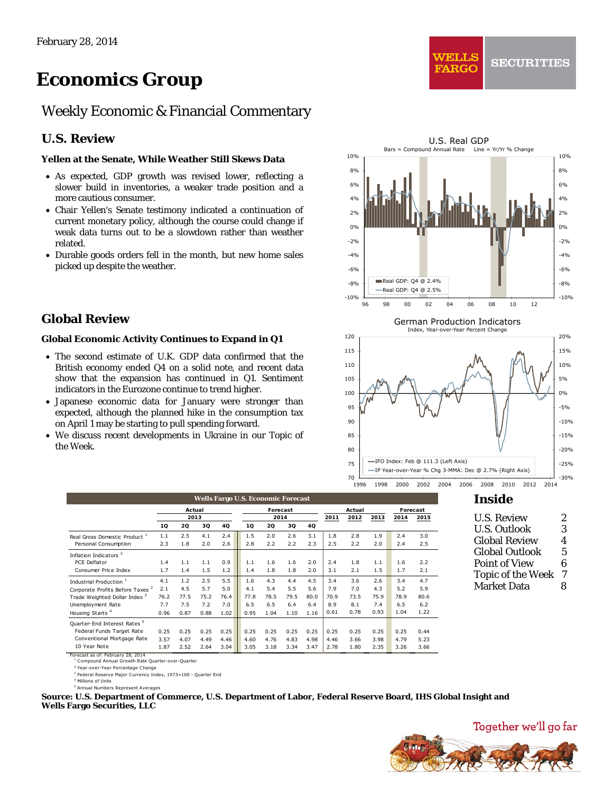# *Economics Group*

# Weekly Economic & Financial Commentary

# **U.S. Review**

#### **Yellen at the Senate, While Weather Still Skews Data**

- As expected, GDP growth was revised lower, reflecting a slower build in inventories, a weaker trade position and a more cautious consumer.
- Chair Yellen's Senate testimony indicated a continuation of current monetary policy, although the course could change if weak data turns out to be a slowdown rather than weather related.
- Durable goods orders fell in the month, but new home sales picked up despite the weather.

# **Global Review**

#### **Global Economic Activity Continues to Expand in Q1**

- The second estimate of U.K. GDP data confirmed that the British economy ended Q4 on a solid note, and recent data show that the expansion has continued in Q1. Sentiment indicators in the Eurozone continue to trend higher.
- Japanese economic data for January were stronger than expected, although the planned hike in the consumption tax on April 1 may be starting to pull spending forward.
- We discuss recent developments in Ukraine in our Topic of the Week.



WELLS

**FARGO** 

**Wells Fargo U.S. Economic Forecast 2011 2012 2013 2014 2015 1Q 2Q 3Q 4Q 1Q 2Q 3Q 4Q** Real Gross Domestic Product <sup>1</sup> 1.1 2.5 4.1 2.4 1.5 2.0 2.6 3.1 1.8 2.8 1.9 2.4 3.0<br>Personal Consumption 2.3 1.8 2.0 2.6 2.8 2.2 2.2 2.3 2.5 2.2 2.0 2.4 2.5 Personal Consumption 2.3 1.8 2.0 2.6 2.8 2.2 2.2 2.3 2.5 2.2 2.0 Inflation Indicators <sup>2</sup> PCE Deflator 1.4 1.1 1.1 0.9 1.1 1.6 1.6 2.0 2.4 1.8 1.1 1.6 2.2 Consumer Price Index 1.7 1.4 1.5 1.2 1.4 1.8 1.8 2.0 3.1 2.1 1.5 1.7 2.1 Industrial Production <sup>1</sup> 4.1 1.2 2.5 5.5 1.6 4.3 4.4 4.5 3.4 3.6 2.6 3.4 4.7 Corporate Profits Before Taxes <sup>2</sup> 2.1 4.5 5.7 5.0 4.1 5.4 5.5 5.6 7.9 7.0 4.3 5.2 5.9 Corporate Profits Before Taxes <sup>2</sup> 2.1 4.5 5.7 5.0 4.1 5.4 5.5 5.6 7.9 7.0 4.3 5.2 5.9 Trade Weighted Dollar Index 3 76.2 77.5 75.2 76.4 77.8 78.5 79.5 80.0 70.9 73.5 75.9 78.9 80.6<br>Unemployment Rate 7.7 7.7 7.5 7.2 7.0 6.5 6.5 6.4 6.4 8.9 8.1 7.4 6.5 6.2 Unemployment Rate 7.7 7.5 7.2 7.0 6.5 6.5 6.4 6.4 8.9 8.1 7.4 6.5 6.2 Housing Starts <sup>4</sup> 0.96 0.87 0.88 1.02 0.95 1.04 1.10 1.16 0.61 0.78 0.93 1.04 1.22 Quarter-End Interest Rates Federal Funds Target Rate 0.25 0.25 0.25 0.25 0.25 0.25 0.25 0.25 0.25 0.25 0.25 0.25 0.44 Conventional Mortgage Rate 3.57 4.07 4.49 4.46 4.60 4.76 4.83 4.98 4.46 3.66 3.98 4.79 5.23<br>10 Year Note 1.87 2.52 2.64 3.04 3.05 3.18 3.34 3.47 2.78 1.80 2.35 3.26 3.66 **2014 Actual Forecast Actual Forecast 2013**

10 Year Note 1.87 2.52 2.64 3.04 3.05 3.18 3.34 3.47 2.78 1.80 2.35 3.26 3.66 Forecast as of: February 28, 2014

Compound Annual Growth Rate Quarter-over-Quarter

2 Year-over-Year Percentage Change <sup>3</sup> Federal Reserve Major Currency Index, 1973=100 - Quarter End

4 Millions of Units

mbers Represent Averages

**Source: U.S. Department of Commerce, U.S. Department of Labor, Federal Reserve Board, IHS Global Insight and Wells Fargo Securities, LLC** 

# **Inside**

| <b>U.S. Review</b>       | 2 |
|--------------------------|---|
| U.S. Outlook             | 3 |
| <b>Global Review</b>     | 4 |
| <b>Global Outlook</b>    | 5 |
| <b>Point of View</b>     | 6 |
| <b>Topic of the Week</b> | 7 |
| <b>Market Data</b>       | 8 |
|                          |   |

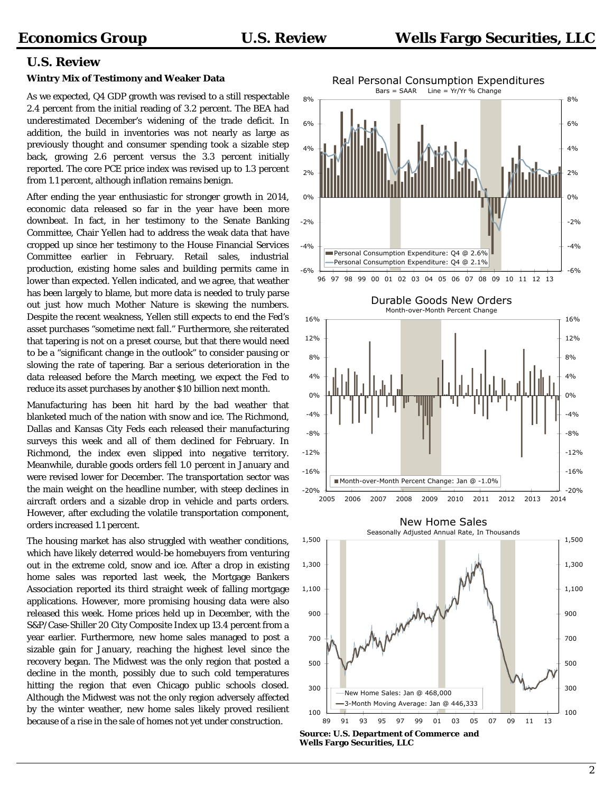### **U.S. Review**

#### **Wintry Mix of Testimony and Weaker Data**

As we expected, Q4 GDP growth was revised to a still respectable 2.4 percent from the initial reading of 3.2 percent. The BEA had underestimated December's widening of the trade deficit. In addition, the build in inventories was not nearly as large as previously thought and consumer spending took a sizable step back, growing 2.6 percent versus the 3.3 percent initially reported. The core PCE price index was revised up to 1.3 percent from 1.1 percent, although inflation remains benign.

After ending the year enthusiastic for stronger growth in 2014, economic data released so far in the year have been more downbeat. In fact, in her testimony to the Senate Banking Committee, Chair Yellen had to address the weak data that have cropped up since her testimony to the House Financial Services Committee earlier in February. Retail sales, industrial production, existing home sales and building permits came in lower than expected. Yellen indicated, and we agree, that weather has been largely to blame, but more data is needed to truly parse out just how much Mother Nature is skewing the numbers. Despite the recent weakness, Yellen still expects to end the Fed's asset purchases "sometime next fall." Furthermore, she reiterated that tapering is not on a preset course, but that there would need to be a "significant change in the outlook" to consider pausing or slowing the rate of tapering. Bar a serious deterioration in the data released before the March meeting, we expect the Fed to reduce its asset purchases by another \$10 billion next month.

Manufacturing has been hit hard by the bad weather that blanketed much of the nation with snow and ice. The Richmond, Dallas and Kansas City Feds each released their manufacturing surveys this week and all of them declined for February. In Richmond, the index even slipped into negative territory. Meanwhile, durable goods orders fell 1.0 percent in January and were revised lower for December. The transportation sector was the main weight on the headline number, with steep declines in aircraft orders and a sizable drop in vehicle and parts orders. However, after excluding the volatile transportation component, orders increased 1.1 percent.

The housing market has also struggled with weather conditions, which have likely deterred would-be homebuyers from venturing out in the extreme cold, snow and ice. After a drop in existing home sales was reported last week, the Mortgage Bankers Association reported its third straight week of falling mortgage applications. However, more promising housing data were also released this week. Home prices held up in December, with the S&P/Case-Shiller 20 City Composite Index up 13.4 percent from a year earlier. Furthermore, new home sales managed to post a sizable gain for January, reaching the highest level since the recovery began. The Midwest was the only region that posted a decline in the month, possibly due to such cold temperatures hitting the region that even Chicago public schools closed. Although the Midwest was not the only region adversely affected by the winter weather, new home sales likely proved resilient because of a rise in the sale of homes not yet under construction.



**Wells Fargo Securities, LLC**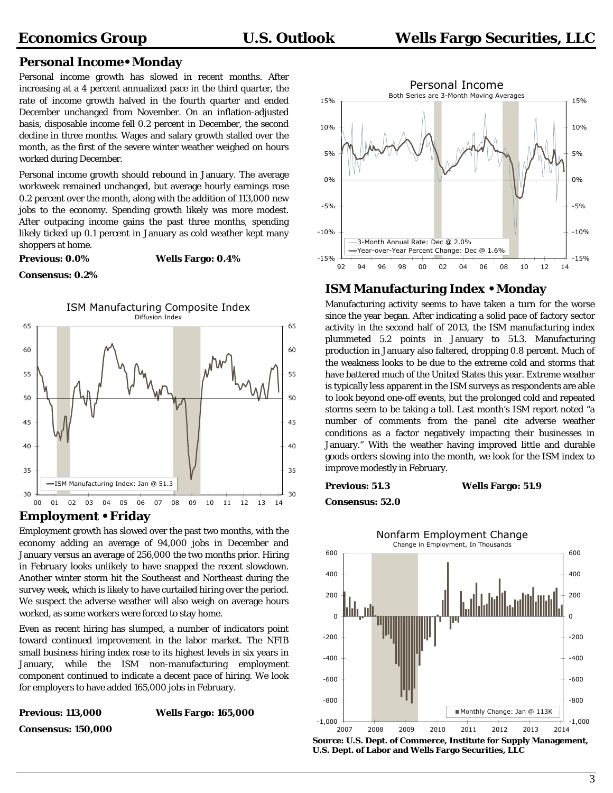# **Personal Income• Monday**

Personal income growth has slowed in recent months. After increasing at a 4 percent annualized pace in the third quarter, the rate of income growth halved in the fourth quarter and ended December unchanged from November. On an inflation-adjusted basis, disposable income fell 0.2 percent in December, the second decline in three months. Wages and salary growth stalled over the month, as the first of the severe winter weather weighed on hours worked during December.

Personal income growth should rebound in January. The average workweek remained unchanged, but average hourly earnings rose 0.2 percent over the month, along with the addition of 113,000 new jobs to the economy. Spending growth likely was more modest. After outpacing income gains the past three months, spending likely ticked up 0.1 percent in January as cold weather kept many shoppers at home.

**Previous: 0.0% Wells Fargo: 0.4%** 

#### **Consensus: 0.2%**



## **Employment • Friday**

Employment growth has slowed over the past two months, with the economy adding an average of 94,000 jobs in December and January versus an average of 256,000 the two months prior. Hiring in February looks unlikely to have snapped the recent slowdown. Another winter storm hit the Southeast and Northeast during the survey week, which is likely to have curtailed hiring over the period. We suspect the adverse weather will also weigh on average hours worked, as some workers were forced to stay home.

Even as recent hiring has slumped, a number of indicators point toward continued improvement in the labor market. The NFIB small business hiring index rose to its highest levels in six years in January, while the ISM non-manufacturing employment component continued to indicate a decent pace of hiring. We look for employers to have added 165,000 jobs in February.





# **ISM Manufacturing Index • Monday**

Manufacturing activity seems to have taken a turn for the worse since the year began. After indicating a solid pace of factory sector activity in the second half of 2013, the ISM manufacturing index plummeted 5.2 points in January to 51.3. Manufacturing production in January also faltered, dropping 0.8 percent. Much of the weakness looks to be due to the extreme cold and storms that have battered much of the United States this year. Extreme weather is typically less apparent in the ISM surveys as respondents are able to look beyond one-off events, but the prolonged cold and repeated storms seem to be taking a toll. Last month's ISM report noted "a number of comments from the panel cite adverse weather conditions as a factor negatively impacting their businesses in January." With the weather having improved little and durable goods orders slowing into the month, we look for the ISM index to improve modestly in February.

**Previous: 51.3 Wells Fargo: 51.9** 

**Consensus: 52.0** 



**Source: U.S. Dept. of Commerce, Institute for Supply Management, U.S. Dept. of Labor and Wells Fargo Securities, LLC**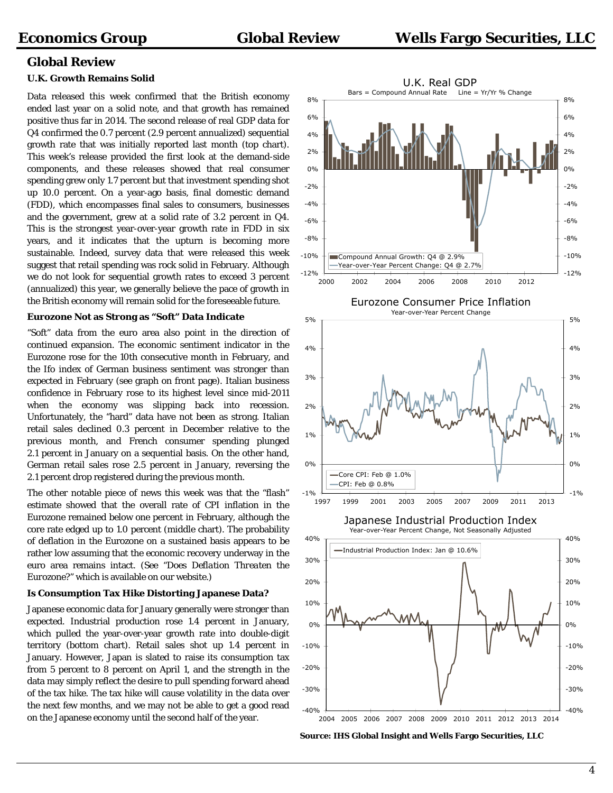# **Global Review**

#### **U.K. Growth Remains Solid**

Data released this week confirmed that the British economy ended last year on a solid note, and that growth has remained positive thus far in 2014. The second release of real GDP data for Q4 confirmed the 0.7 percent (2.9 percent annualized) sequential growth rate that was initially reported last month (top chart). This week's release provided the first look at the demand-side components, and these releases showed that real consumer spending grew only 1.7 percent but that investment spending shot up 10.0 percent. On a year-ago basis, final domestic demand (FDD), which encompasses final sales to consumers, businesses and the government, grew at a solid rate of 3.2 percent in Q4. This is the strongest year-over-year growth rate in FDD in six years, and it indicates that the upturn is becoming more sustainable. Indeed, survey data that were released this week suggest that retail spending was rock solid in February. Although we do not look for sequential growth rates to exceed 3 percent (annualized) this year, we generally believe the pace of growth in the British economy will remain solid for the foreseeable future.

#### **Eurozone Not as Strong as "Soft" Data Indicate**

"Soft" data from the euro area also point in the direction of continued expansion. The economic sentiment indicator in the Eurozone rose for the 10th consecutive month in February, and the Ifo index of German business sentiment was stronger than expected in February (see graph on front page). Italian business confidence in February rose to its highest level since mid-2011 when the economy was slipping back into recession. Unfortunately, the "hard" data have not been as strong. Italian retail sales declined 0.3 percent in December relative to the previous month, and French consumer spending plunged 2.1 percent in January on a sequential basis. On the other hand, German retail sales rose 2.5 percent in January, reversing the 2.1 percent drop registered during the previous month.

The other notable piece of news this week was that the "flash" estimate showed that the overall rate of CPI inflation in the Eurozone remained below one percent in February, although the core rate edged up to 1.0 percent (middle chart). The probability of deflation in the Eurozone on a sustained basis appears to be rather low assuming that the economic recovery underway in the euro area remains intact. (See "*Does Deflation Threaten the Eurozone?*" which is available on our website.)

#### **Is Consumption Tax Hike Distorting Japanese Data?**

Japanese economic data for January generally were stronger than expected. Industrial production rose 1.4 percent in January, which pulled the year-over-year growth rate into double-digit territory (bottom chart). Retail sales shot up 1.4 percent in January. However, Japan is slated to raise its consumption tax from 5 percent to 8 percent on April 1, and the strength in the data may simply reflect the desire to pull spending forward ahead of the tax hike. The tax hike will cause volatility in the data over the next few months, and we may not be able to get a good read on the Japanese economy until the second half of the year.



**Source: IHS Global Insight and Wells Fargo Securities, LLC**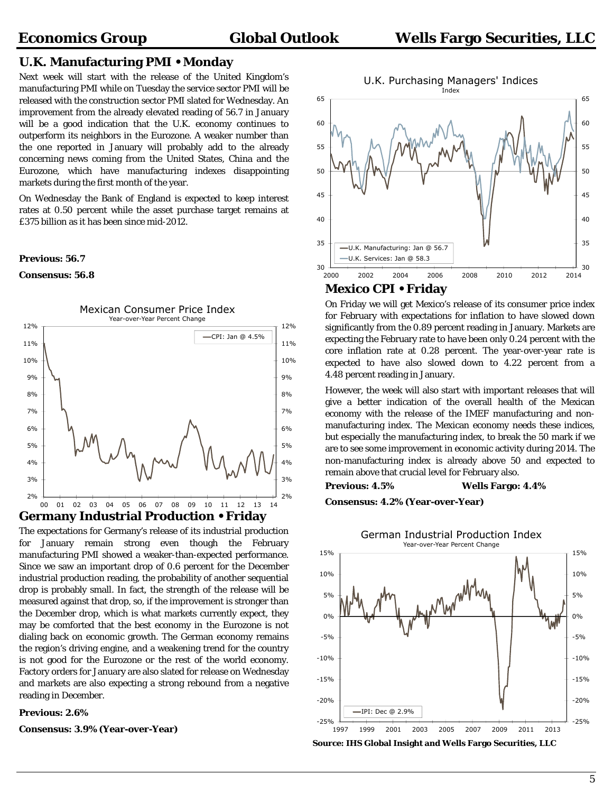### **U.K. Manufacturing PMI • Monday**

Next week will start with the release of the United Kingdom's manufacturing PMI while on Tuesday the service sector PMI will be released with the construction sector PMI slated for Wednesday. An improvement from the already elevated reading of 56.7 in January will be a good indication that the U.K. economy continues to outperform its neighbors in the Eurozone. A weaker number than the one reported in January will probably add to the already concerning news coming from the United States, China and the Eurozone, which have manufacturing indexes disappointing markets during the first month of the year.

On Wednesday the Bank of England is expected to keep interest rates at 0.50 percent while the asset purchase target remains at £375 billion as it has been since mid-2012.

#### **Previous: 56.7**

#### **Consensus: 56.8**



The expectations for Germany's release of its industrial production for January remain strong even though the February manufacturing PMI showed a weaker-than-expected performance. Since we saw an important drop of 0.6 percent for the December industrial production reading, the probability of another sequential drop is probably small. In fact, the strength of the release will be measured against that drop, so, if the improvement is stronger than the December drop, which is what markets currently expect, they may be comforted that the best economy in the Eurozone is not dialing back on economic growth. The German economy remains the region's driving engine, and a weakening trend for the country is not good for the Eurozone or the rest of the world economy. Factory orders for January are also slated for release on Wednesday and markets are also expecting a strong rebound from a negative reading in December.

#### **Previous: 2.6%**

**Consensus: 3.9% (Year-over-Year)** 

 $\frac{1}{2014}$  30 35 40 45 50 55 60 65 30 35 40 45  $50$ 55 60 65 2000 2002 2004 2006 2008 2010 2012 2014 U.K. Purchasing Managers' Indices Index U.K. Manufacturing: Jan @ 56.7 U.K. Services: Jan @ 58.3

### **Mexico CPI • Friday**

On Friday we will get Mexico's release of its consumer price index for February with expectations for inflation to have slowed down significantly from the 0.89 percent reading in January. Markets are expecting the February rate to have been only 0.24 percent with the core inflation rate at 0.28 percent. The year-over-year rate is expected to have also slowed down to 4.22 percent from a 4.48 percent reading in January.

However, the week will also start with important releases that will give a better indication of the overall health of the Mexican economy with the release of the IMEF manufacturing and nonmanufacturing index. The Mexican economy needs these indices, but especially the manufacturing index, to break the 50 mark if we are to see some improvement in economic activity during 2014. The non-manufacturing index is already above 50 and expected to remain above that crucial level for February also.

#### **Previous: 4.5% Wells Fargo: 4.4%**

**Consensus: 4.2% (Year-over-Year)** 



**Source: IHS Global Insight and Wells Fargo Securities, LLC**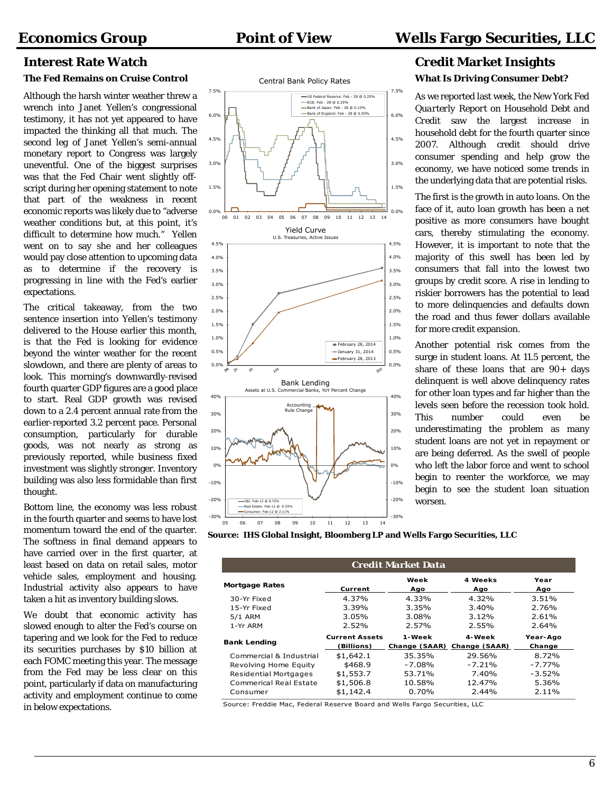#### **The Fed Remains on Cruise Control**

Although the harsh winter weather threw a wrench into Janet Yellen's congressional testimony, it has not yet appeared to have impacted the thinking all that much. The second leg of Janet Yellen's semi-annual monetary report to Congress was largely uneventful. One of the biggest surprises was that the Fed Chair went slightly offscript during her opening statement to note that part of the weakness in recent economic reports was likely due to "adverse weather conditions but, at this point, it's difficult to determine how much." Yellen went on to say she and her colleagues would pay close attention to upcoming data as to determine if the recovery is progressing in line with the Fed's earlier expectations.

The critical takeaway, from the two sentence insertion into Yellen's testimony delivered to the House earlier this month, is that the Fed is looking for evidence beyond the winter weather for the recent slowdown, and there are plenty of areas to look. This morning's downwardly-revised fourth quarter GDP figures are a good place to start. Real GDP growth was revised down to a 2.4 percent annual rate from the earlier-reported 3.2 percent pace. Personal consumption, particularly for durable goods, was not nearly as strong as previously reported, while business fixed investment was slightly stronger. Inventory building was also less formidable than first thought.

Bottom line, the economy was less robust in the fourth quarter and seems to have lost momentum toward the end of the quarter. The softness in final demand appears to have carried over in the first quarter, at least based on data on retail sales, motor vehicle sales, employment and housing. Industrial activity also appears to have taken a hit as inventory building slows.

We doubt that economic activity has slowed enough to alter the Fed's course on tapering and we look for the Fed to reduce its securities purchases by \$10 billion at each FOMC meeting this year. The message from the Fed may be less clear on this point, particularly if data on manufacturing activity and employment continue to come in below expectations.





**Source: IHS Global Insight, Bloomberg LP and Wells Fargo Securities, LLC** 

| <b>Credit Market Data</b>    |                                     |                         |                         |                    |  |  |  |  |
|------------------------------|-------------------------------------|-------------------------|-------------------------|--------------------|--|--|--|--|
| <b>Mortgage Rates</b>        | Current                             | Week<br>Ago             | 4 Weeks<br>Ago          | Year<br>Ago        |  |  |  |  |
| 30-Yr Fixed                  | 4.37%                               | 4.33%                   | 4.32%                   | 3.51%              |  |  |  |  |
| 15-Yr Fixed                  | 3.39%                               | 3.35%                   | 3.40%                   | 2.76%              |  |  |  |  |
| 5/1 ARM                      | 3.05%                               | 3.08%                   | 3.12%                   | 2.61%              |  |  |  |  |
| 1-Yr ARM                     | 2.52%                               | 2.57%                   | 2.55%                   | 2.64%              |  |  |  |  |
| <b>Bank Lending</b>          | <b>Current Assets</b><br>(Billions) | 1-Week<br>Change (SAAR) | 4-Week<br>Change (SAAR) | Year-Ago<br>Change |  |  |  |  |
| Commercial & Industrial      | \$1,642.1                           | 35.35%                  | 29.56%                  | 8.72%              |  |  |  |  |
| Revolving Home Equity        | \$468.9                             | $-7.08%$                | $-7.21%$                | $-7.77%$           |  |  |  |  |
| <b>Residential Mortgages</b> | \$1,553.7                           | 53.71%                  | 7.40%                   | $-3.52%$           |  |  |  |  |
| Commerical Real Estate       | \$1,506.8                           | 10.58%                  | 12.47%                  | 5.36%              |  |  |  |  |
| Consumer                     | \$1,142.4                           | 0.70%                   | 2.44%                   | 2.11%              |  |  |  |  |

Source: Freddie Mac, Federal Reserve Board and Wells Fargo Securities, LLC

# **Interest Rate Watch Credit Market Insights What Is Driving Consumer Debt?**

As we reported last week, the New York Fed *Quarterly Report on Household Debt and Credit* saw the largest increase in household debt for the fourth quarter since 2007. Although credit should drive consumer spending and help grow the economy, we have noticed some trends in the underlying data that are potential risks.

The first is the growth in auto loans. On the face of it, auto loan growth has been a net positive as more consumers have bought cars, thereby stimulating the economy. However, it is important to note that the majority of this swell has been led by consumers that fall into the lowest two groups by credit score. A rise in lending to riskier borrowers has the potential to lead to more delinquencies and defaults down the road and thus fewer dollars available for more credit expansion.

Another potential risk comes from the surge in student loans. At 11.5 percent, the share of these loans that are 90+ days delinquent is well above delinquency rates for other loan types and far higher than the levels seen before the recession took hold. This number could even be underestimating the problem as many student loans are not yet in repayment or are being deferred. As the swell of people who left the labor force and went to school begin to reenter the workforce, we may begin to see the student loan situation worsen.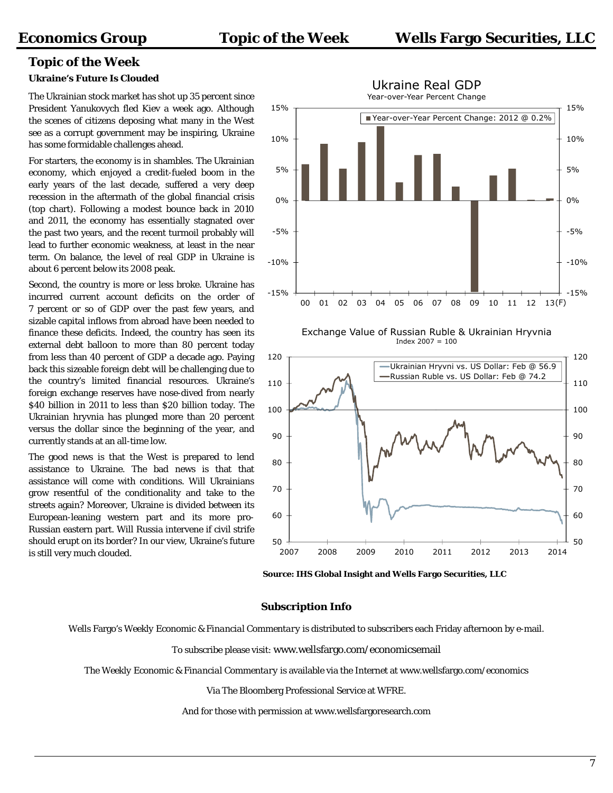# **Topic of the Week**

### **Ukraine's Future Is Clouded**

The Ukrainian stock market has shot up 35 percent since President Yanukovych fled Kiev a week ago. Although the scenes of citizens deposing what many in the West see as a corrupt government may be inspiring, Ukraine has some formidable challenges ahead.

For starters, the economy is in shambles. The Ukrainian economy, which enjoyed a credit-fueled boom in the early years of the last decade, suffered a very deep recession in the aftermath of the global financial crisis (top chart). Following a modest bounce back in 2010 and 2011, the economy has essentially stagnated over the past two years, and the recent turmoil probably will lead to further economic weakness, at least in the near term. On balance, the level of real GDP in Ukraine is about 6 percent below its 2008 peak.

Second, the country is more or less broke. Ukraine has incurred current account deficits on the order of 7 percent or so of GDP over the past few years, and sizable capital inflows from abroad have been needed to finance these deficits. Indeed, the country has seen its external debt balloon to more than 80 percent today from less than 40 percent of GDP a decade ago. Paying back this sizeable foreign debt will be challenging due to the country's limited financial resources. Ukraine's foreign exchange reserves have nose-dived from nearly \$40 billion in 2011 to less than \$20 billion today. The Ukrainian hryvnia has plunged more than 20 percent versus the dollar since the beginning of the year, and currently stands at an all-time low.

The good news is that the West is prepared to lend assistance to Ukraine. The bad news is that that assistance will come with conditions. Will Ukrainians grow resentful of the conditionality and take to the streets again? Moreover, Ukraine is divided between its European-leaning western part and its more pro-Russian eastern part. Will Russia intervene if civil strife should erupt on its border? In our view, Ukraine's future is still very much clouded.







**Source: IHS Global Insight and Wells Fargo Securities, LLC** 

#### **Subscription Info**

Wells Fargo's *Weekly Economic & Financial Commentary* is distributed to subscribers each Friday afternoon by e-mail.

To subscribe please visit: www.wellsfargo.com/economicsemail

The *Weekly Economic & Financial Commentary* is available via the Internet at www.wellsfargo.com/economics

Via The Bloomberg Professional Service at WFRE.

And for those with permission at www.wellsfargoresearch.com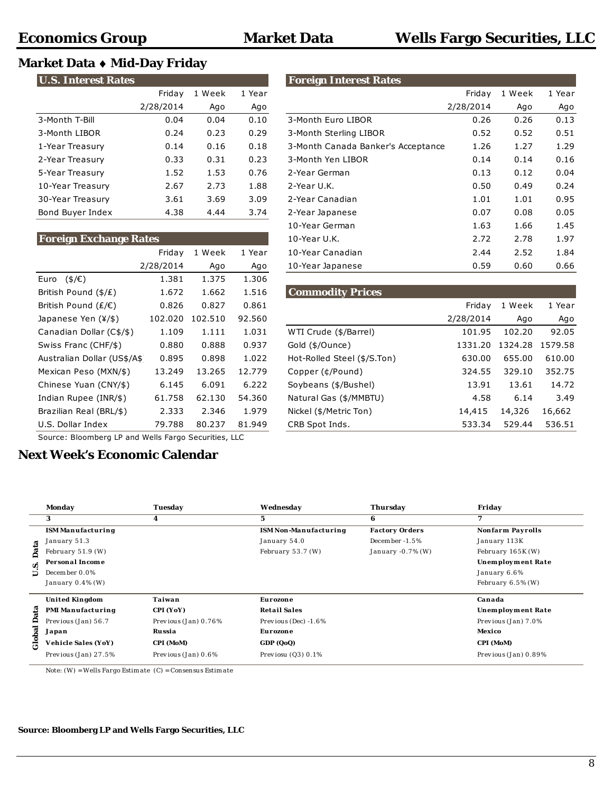# **Market Data Mid-Day Friday**

| <b>U.S. Interest Rates</b> |           |        |        |  |  |  |  |
|----------------------------|-----------|--------|--------|--|--|--|--|
|                            | Friday    | 1 Week | 1 Year |  |  |  |  |
|                            | 2/28/2014 | Ago    | Ago    |  |  |  |  |
| 3-Month T-Bill             | 0.04      | 0.04   | 0.10   |  |  |  |  |
| 3-Month LIBOR              | 0.24      | 0.23   | 0.29   |  |  |  |  |
| 1-Year Treasury            | 0.14      | 0.16   | 0.18   |  |  |  |  |
| 2-Year Treasury            | 0.33      | 0.31   | 0.23   |  |  |  |  |
| 5-Year Treasury            | 1.52      | 1.53   | 0.76   |  |  |  |  |
| 10-Year Treasury           | 2.67      | 2.73   | 1.88   |  |  |  |  |
| 30-Year Treasury           | 3.61      | 3.69   | 3.09   |  |  |  |  |
| Bond Buyer Index           | 4.38      | 4.44   | 3.74   |  |  |  |  |

| <b>Foreign Exchange Rates</b>             | 10-Year U.K. |         |        |                          |  |  |  |
|-------------------------------------------|--------------|---------|--------|--------------------------|--|--|--|
|                                           | Friday       | 1 Week  | 1 Year | 10-Year Canadian         |  |  |  |
|                                           | 2/28/2014    | Ago     | Ago    | 10-Year Japanese         |  |  |  |
| $($ \$/€)<br>Euro                         | 1.381        | 1.375   | 1.306  |                          |  |  |  |
| British Pound $(\frac{4}{E})$             | 1.672        | 1.662   | 1.516  | <b>Commodity Prices</b>  |  |  |  |
| British Pound ( $E/E$ )                   | 0.826        | 0.827   | 0.861  |                          |  |  |  |
| Japanese Yen $(\frac{1}{2}, \frac{1}{2})$ | 102.020      | 102.510 | 92.560 |                          |  |  |  |
| Canadian Dollar (C\$/\$)                  | 1.109        | 1.111   | 1.031  | WTI Crude (\$/Barrel)    |  |  |  |
| Swiss Franc (CHF/\$)                      | 0.880        | 0.888   | 0.937  | Gold (\$/Ounce)          |  |  |  |
| Australian Dollar (US\$/A\$               | 0.895        | 0.898   | 1.022  | Hot-Rolled Steel (\$/S.T |  |  |  |
| Mexican Peso (MXN/\$)                     | 13.249       | 13.265  | 12.779 | Copper (¢/Pound)         |  |  |  |
| Chinese Yuan (CNY/\$)                     | 6.145        | 6.091   | 6.222  | Soybeans (\$/Bushel)     |  |  |  |
| Indian Rupee (INR/\$)                     | 61.758       | 62.130  | 54.360 | Natural Gas (\$/MMBTU)   |  |  |  |
| Brazilian Real (BRL/\$)                   | 2.333        | 2.346   | 1.979  | Nickel (\$/Metric Ton)   |  |  |  |
| U.S. Dollar Index                         | 79.788       | 80.237  | 81.949 | CRB Spot Inds.           |  |  |  |
|                                           |              |         |        |                          |  |  |  |

| <b>U.S. Interest Rates</b>    |           |        |        | <b>Foreign Interest Rates</b>      |           |        |        |
|-------------------------------|-----------|--------|--------|------------------------------------|-----------|--------|--------|
|                               | Friday    | 1 Week | 1 Year |                                    | Friday    | 1 Week | 1 Year |
|                               | 2/28/2014 | Ago    | Ago    |                                    | 2/28/2014 | Ago    | Ago    |
| 3-Month T-Bill                | 0.04      | 0.04   | 0.10   | 3-Month Euro LIBOR                 | 0.26      | 0.26   | 0.13   |
| 3-Month LIBOR                 | 0.24      | 0.23   | 0.29   | 3-Month Sterling LIBOR             | 0.52      | 0.52   | 0.51   |
| 1-Year Treasury               | 0.14      | 0.16   | 0.18   | 3-Month Canada Banker's Acceptance | 1.26      | 1.27   | 1.29   |
| 2-Year Treasury               | 0.33      | 0.31   | 0.23   | 3-Month Yen LIBOR                  | 0.14      | 0.14   | 0.16   |
| 5-Year Treasury               | 1.52      | 1.53   | 0.76   | 2-Year German                      | 0.13      | 0.12   | 0.04   |
| 10-Year Treasury              | 2.67      | 2.73   | 1.88   | 2-Year U.K.                        | 0.50      | 0.49   | 0.24   |
| 30-Year Treasury              | 3.61      | 3.69   | 3.09   | 2-Year Canadian                    | 1.01      | 1.01   | 0.95   |
| Bond Buyer Index              | 4.38      | 4.44   | 3.74   | 2-Year Japanese                    | 0.07      | 0.08   | 0.05   |
|                               |           |        |        | 10-Year German                     | 1.63      | 1.66   | 1.45   |
| <b>Foreign Exchange Rates</b> |           |        |        | 10-Year U.K.                       | 2.72      | 2.78   | 1.97   |
|                               | Friday    | 1 Week | 1 Year | 10-Year Canadian                   | 2.44      | 2.52   | 1.84   |
|                               | 2/28/2014 | Ago    | Ago    | 10-Year Japanese                   | 0.59      | 0.60   | 0.66   |

| 1.672   | 1.662   | 1.516  |                             |                         |         |         |
|---------|---------|--------|-----------------------------|-------------------------|---------|---------|
| 0.826   | 0.827   | 0.861  |                             | Friday                  | 1 Week  | 1 Year  |
| 102.020 | 102.510 | 92.560 |                             | 2/28/2014               | Ago     | Ago     |
| 1.109   | 1.111   | 1.031  | WTI Crude (\$/Barrel)       | 101.95                  | 102.20  | 92.05   |
| 0.880   | 0.888   | 0.937  | Gold (\$/Ounce)             | 1331.20                 | 1324.28 | 1579.58 |
| 0.895   | 0.898   | 1.022  | Hot-Rolled Steel (\$/S.Ton) | 630.00                  | 655.00  | 610.00  |
| 13.249  | 13.265  | 12.779 | Copper (¢/Pound)            | 324.55                  | 329.10  | 352.75  |
| 6.145   | 6.091   | 6.222  | Soybeans (\$/Bushel)        | 13.91                   | 13.61   | 14.72   |
| 61.758  | 62.130  | 54.360 | Natural Gas (\$/MMBTU)      | 4.58                    | 6.14    | 3.49    |
| 2.333   | 2.346   | 1.979  | Nickel (\$/Metric Ton)      | 14,415                  | 14,326  | 16,662  |
| 79.788  | 80.237  | 81.949 | CRB Spot Inds.              | 533.34                  | 529.44  | 536.51  |
|         |         |        |                             | <b>Commodity Prices</b> |         |         |

Source: Bloomberg LP and Wells Fargo Securities, LLC

# **Next Week's Economic Calendar**

|        | Monday                   | Tuesday                | Wednesday                    | Thursday              | Friday                  |
|--------|--------------------------|------------------------|------------------------------|-----------------------|-------------------------|
|        | 3                        | 4                      | 5                            | 6                     | 7                       |
|        | <b>ISM Manufacturing</b> |                        | <b>ISM Non-Manufacturing</b> | <b>Factory Orders</b> | <b>Nonfarm Payrolls</b> |
|        | January 51.3             |                        | January 54.0                 | December $-1.5\%$     | January 113K            |
| Data   | February $51.9$ (W)      |                        | February 53.7 (W)            | January $-0.7\%$ (W)  | February 165K (W)       |
| s.     | Personal Income          |                        |                              |                       | Unemployment Rate       |
| Б      | December 0.0%            |                        |                              |                       | January 6.6%            |
|        | January $0.4\%$ (W)      |                        |                              |                       | February $6.5\%$ (W)    |
|        | <b>United Kingdom</b>    | Taiwan                 | Eurozone                     |                       | Canada                  |
| ata    | <b>PMI Manufacturing</b> | CPI (YoY)              | <b>Retail Sales</b>          |                       | Unemployment Rate       |
| ₽      | Previous (Jan) 56.7      | Previous $(Jan) 0.76%$ | Previous (Dec) $-1.6\%$      |                       | Previous (Jan) 7.0%     |
| Global | Japan                    | Russia                 | Eurozone                     |                       | Mexico                  |
|        | Vehicle Sales (YoY)      | CPI (MoM)              | GDP (QoQ)                    |                       | CPI (MoM)               |
|        | Previous (Jan) 27.5%     | Previous $(Jan) 0.6%$  | Previosu $(Q3)$ 0.1%         |                       | Previous (Jan) 0.89%    |

Note:  $(W) = Wells\,Fargo\,Estim\,ate\ \, (C) = Consensus\,Estim\,ate$ 

### **Source: Bloomberg LP and Wells Fargo Securities, LLC**